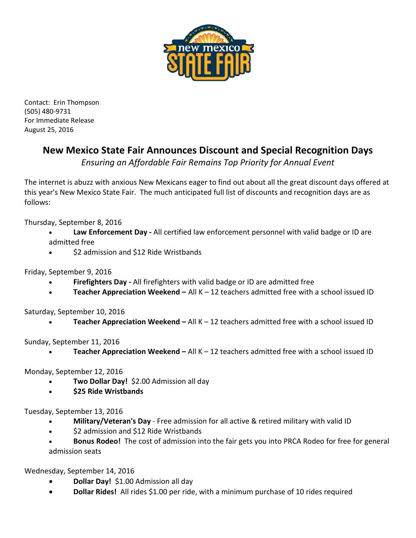

Contact: Erin Thompson (505) 480-9731 For Immediate Release August 25, 2016

## **New Mexico State Fair Announces Discount and Special Recognition Days**

*Ensuring an Affordable Fair Remains Top Priority for Annual Event*

The internet is abuzz with anxious New Mexicans eager to find out about all the great discount days offered at this year's New Mexico State Fair. The much anticipated full list of discounts and recognition days are as follows:

Thursday, September 8, 2016

- **Law Enforcement Day -** All certified law enforcement personnel with valid badge or ID are admitted free
- \$2 admission and \$12 Ride Wristbands

Friday, September 9, 2016

- **Firefighters Day -** All firefighters with valid badge or ID are admitted free
- **Teacher Appreciation Weekend –** All K 12 teachers admitted free with a school issued ID

Saturday, September 10, 2016

• **Teacher Appreciation Weekend –** All K – 12 teachers admitted free with a school issued ID

Sunday, September 11, 2016

• **Teacher Appreciation Weekend –** All K – 12 teachers admitted free with a school issued ID

Monday, September 12, 2016

- **Two Dollar Day!** \$2.00 Admission all day
- **\$25 Ride Wristbands**

Tuesday, September 13, 2016

- **Military/Veteran's Day** Free admission for all active & retired military with valid ID
- \$2 admission and \$12 Ride Wristbands
- **Bonus Rodeo!** The cost of admission into the fair gets you into PRCA Rodeo for free for general admission seats

Wednesday, September 14, 2016

- **Dollar Day!** \$1.00 Admission all day
- **Dollar Rides!** All rides \$1.00 per ride, with a minimum purchase of 10 rides required